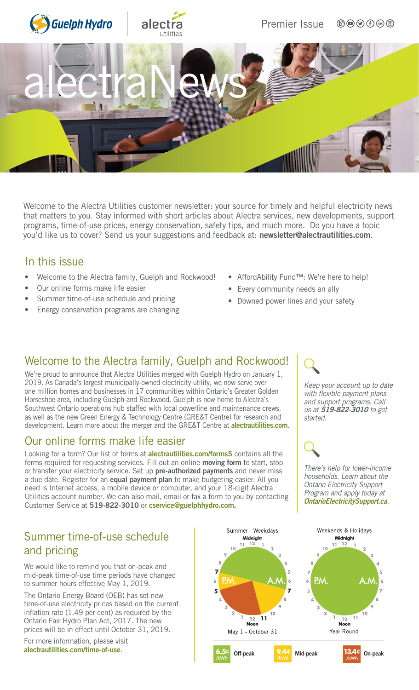

Welcome to the Alectra Utilities customer newsletter: your source for timely and helpful electricity news that matters to you. Stay informed with short articles about Alectra services, new developments, support programs, time-of-use prices, energy conservation, safety tips, and much more. Do you have a topic you'd like us to cover? Send us your suggestions and feedback at: [newsletter@alectrautilities.com](mailto:newsletter@alectrautilities.com).

### In this issue

- Welcome to the Alectra family, Guelph and Rockwood!
- Our online forms make life easier
- Summer time-of-use schedule and pricing
- Energy conservation programs are changing
- AffordAbility Fund™: We're here to help!
- Every community needs an ally
- Downed power lines and your safety

### Welcome to the Alectra family, Guelph and Rockwood!

We're proud to announce that Alectra Utilities merged with Guelph Hydro on January 1, 2019. As Canada's largest municipally-owned electricity utility, we now serve over one million homes and businesses in 17 communities within Ontario's Greater Golden Horseshoe area, including Guelph and Rockwood. Guelph is now home to Alectra's Southwest Ontario operations hub staffed with local powerline and maintenance crews, as well as the new Green Energy & Technology Centre (GRE&T Centre) for research and development. Learn more about the merger and the GRE&T Centre at **[alectrautilities.com](http://www.alectrautilities.com)**.

### Our online forms make life easier

Looking for a form? Our list of forms at **[alectrautilities.com/forms5](http://www.alectrautilities.com/forms5)** contains all the forms required for requesting services. Fill out an online moving form to start, stop or transfer your electricity service. Set up pre-authorized payments and never miss a due date. Register for an equal payment plan to make budgeting easier. All you need is Internet access, a mobile device or computer, and your 18-digit Alectra Utilities account number. We can also mail, email or fax a form to you by contacting Customer Service at 519-822-3010 or [cservice@guelphhydro.com.](mailto:cservice%40guelphhydro.com?subject=)

# Summer time-of-use schedule and pricing

We would like to remind you that on-peak and mid-peak time-of-use time periods have changed to summer hours effective May 1, 2019.

The Ontario Energy Board (OEB) has set new time-of-use electricity prices based on the current inflation rate (1.49 per cent) as required by the Ontario Fair Hydro Plan Act, 2017. The new prices will be in effect until October 31, 2019.

For more information, please visit [alectrautilities.com/time-of-use](http://www.alectrautilities.com/time-of-use).



*Keep your account up to date with flexible payment plans and support programs. Call us at* 519-822-3010 *to get started.*

*There's help for lower-income households. Learn about the Ontario Electricity Support Program and apply today at*  [OntarioElectricitySupport.ca](http://www.OntarioElectricitySupport.ca)*.*